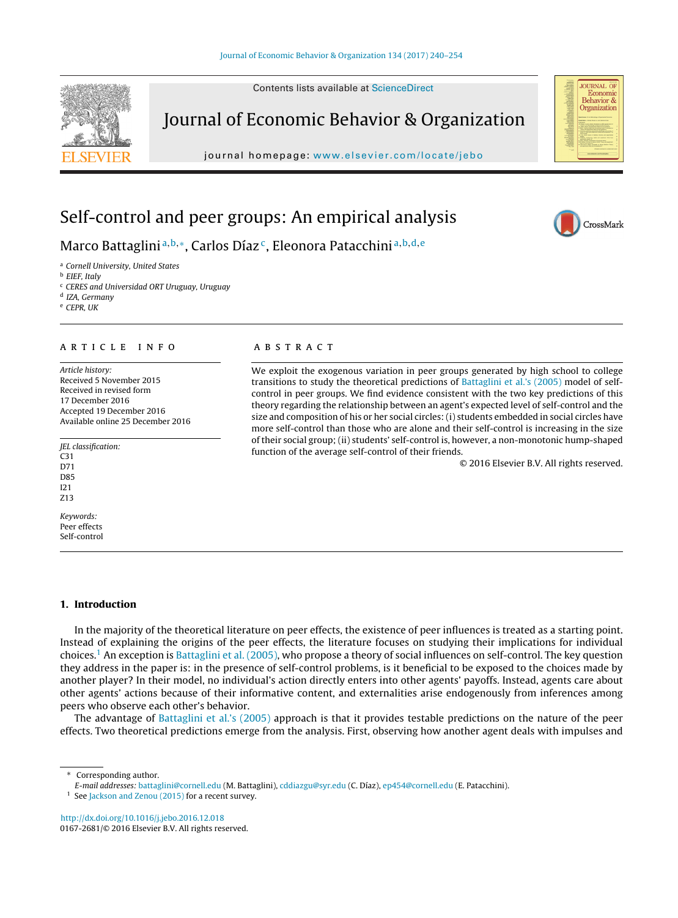Contents lists available at [ScienceDirect](http://www.sciencedirect.com/science/journal/01672681)



# Journal of Economic Behavior & Organization

journal homepage: [www.elsevier.com/locate/jebo](http://www.elsevier.com/locate/jebo)



CrossMark

## Self-control and peer groups: An empirical analysis

## Marco Battaglini<sup>a, b,</sup>\*, Carlos Díaz<sup>c</sup>, Eleonora Patacchini<sup>a, b, d, e</sup>

<sup>a</sup> Cornell University, United States

<sup>b</sup> EIEF, Italy

<sup>c</sup> CERES and Universidad ORT Uruguay, Uruguay

<sup>d</sup> IZA, Germany

 $e$  CEPR IIK

## a r t i c l e i n f o

Article history: Received 5 November 2015 Received in revised form 17 December 2016 Accepted 19 December 2016 Available online 25 December 2016

JEL classification: C31

D71

D85

I21 Z13

Keywords: Peer effects Self-control

## **1. Introduction**

In the majority of the theoretical literature on peer effects, the existence of peer influences is treated as a starting point. Instead of explaining the origins of the peer effects, the literature focuses on studying their implications for individual choices.<sup>1</sup> An exception is [Battaglini](#page-14-0) et [al.](#page-14-0) [\(2005\),](#page-14-0) who propose a theory of social influences on self-control. The key question they address in the paper is: in the presence of self-control problems, is it beneficial to be exposed to the choices made by another player? In their model, no individual's action directly enters into other agents' payoffs. Instead, agents care about other agents' actions because of their informative content, and externalities arise endogenously from inferences among peers who observe each other's behavior.

The advantage of [Battaglini](#page-14-0) et [al.'s](#page-14-0) [\(2005\)](#page-14-0) approach is that it provides testable predictions on the nature of the peer effects. Two theoretical predictions emerge from the analysis. First, observing how another agent deals with impulses and

Corresponding author.

E-mail addresses: [battaglini@cornell.edu](mailto:battaglini@cornell.edu) (M. Battaglini), [cddiazgu@syr.edu](mailto:cddiazgu@syr.edu) (C. Díaz), [ep454@cornell.edu](mailto:ep454@cornell.edu) (E. Patacchini).

<sup>1</sup> See [Jackson](#page-14-0) [and](#page-14-0) [Zenou](#page-14-0) [\(2015\)](#page-14-0) for a recent survey.

[http://dx.doi.org/10.1016/j.jebo.2016.12.018](dx.doi.org/10.1016/j.jebo.2016.12.018) 0167-2681/© 2016 Elsevier B.V. All rights reserved.

## a b s t r a c t

We exploit the exogenous variation in peer groups generated by high school to college transitions to study the theoretical predictions of [Battaglini](#page-14-0) et [al.'s](#page-14-0) [\(2005\)](#page-14-0) model of selfcontrol in peer groups. We find evidence consistent with the two key predictions of this theory regarding the relationship between an agent's expected level of self-control and the size and composition of his or her social circles: (i) students embedded in social circles have more self-control than those who are alone and their self-control is increasing in the size of their social group; (ii) students' self-control is, however, a non-monotonic hump-shaped function of the average self-control of their friends.

© 2016 Elsevier B.V. All rights reserved.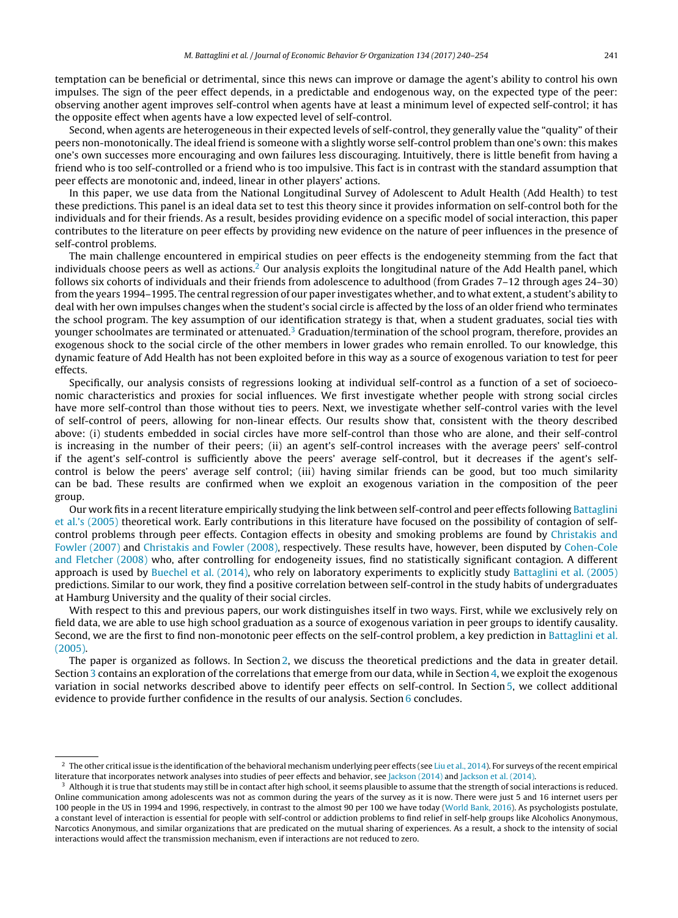temptation can be beneficial or detrimental, since this news can improve or damage the agent's ability to control his own impulses. The sign of the peer effect depends, in a predictable and endogenous way, on the expected type of the peer: observing another agent improves self-control when agents have at least a minimum level of expected self-control; it has the opposite effect when agents have a low expected level of self-control.

Second, when agents are heterogeneous in their expected levels of self-control, they generally value the "quality" of their peers non-monotonically. The ideal friend is someone with a slightly worse self-control problem than one's own: this makes one's own successes more encouraging and own failures less discouraging. Intuitively, there is little benefit from having a friend who is too self-controlled or a friend who is too impulsive. This fact is in contrast with the standard assumption that peer effects are monotonic and, indeed, linear in other players' actions.

In this paper, we use data from the National Longitudinal Survey of Adolescent to Adult Health (Add Health) to test these predictions. This panel is an ideal data set to test this theory since it provides information on self-control both for the individuals and for their friends. As a result, besides providing evidence on a specific model of social interaction, this paper contributes to the literature on peer effects by providing new evidence on the nature of peer influences in the presence of self-control problems.

The main challenge encountered in empirical studies on peer effects is the endogeneity stemming from the fact that individuals choose peers as well as actions.<sup>2</sup> Our analysis exploits the longitudinal nature of the Add Health panel, which follows six cohorts of individuals and their friends from adolescence to adulthood (from Grades 7–12 through ages 24–30) from the years 1994–1995. The central regression of our paper investigates whether, and to what extent, a student's ability to deal with her own impulses changes when the student's social circle is affected by the loss of an older friend who terminates the school program. The key assumption of our identification strategy is that, when a student graduates, social ties with younger schoolmates are terminated or attenuated.<sup>3</sup> Graduation/termination of the school program, therefore, provides an exogenous shock to the social circle of the other members in lower grades who remain enrolled. To our knowledge, this dynamic feature of Add Health has not been exploited before in this way as a source of exogenous variation to test for peer effects.

Specifically, our analysis consists of regressions looking at individual self-control as a function of a set of socioeconomic characteristics and proxies for social influences. We first investigate whether people with strong social circles have more self-control than those without ties to peers. Next, we investigate whether self-control varies with the level of self-control of peers, allowing for non-linear effects. Our results show that, consistent with the theory described above: (i) students embedded in social circles have more self-control than those who are alone, and their self-control is increasing in the number of their peers; (ii) an agent's self-control increases with the average peers' self-control if the agent's self-control is sufficiently above the peers' average self-control, but it decreases if the agent's selfcontrol is below the peers' average self control; (iii) having similar friends can be good, but too much similarity can be bad. These results are confirmed when we exploit an exogenous variation in the composition of the peer group.

Our work fits in a recent literature empirically studying the link between self-control and peer effects following [Battaglini](#page-14-0) et [al.'s](#page-14-0) [\(2005\)](#page-14-0) theoretical work. Early contributions in this literature have focused on the possibility of contagion of selfcontrol problems through peer effects. Contagion effects in obesity and smoking problems are found by [Christakis](#page-14-0) [and](#page-14-0) [Fowler](#page-14-0) [\(2007\)](#page-14-0) and [Christakis](#page-14-0) [and](#page-14-0) [Fowler](#page-14-0) [\(2008\),](#page-14-0) respectively. These results have, however, been disputed by [Cohen-Cole](#page-14-0) [and](#page-14-0) [Fletcher](#page-14-0) [\(2008\)](#page-14-0) who, after controlling for endogeneity issues, find no statistically significant contagion. A different approach is used by [Buechel](#page-14-0) et [al.](#page-14-0) [\(2014\),](#page-14-0) who rely on laboratory experiments to explicitly study [Battaglini](#page-14-0) et [al.](#page-14-0) [\(2005\)](#page-14-0) predictions. Similar to our work, they find a positive correlation between self-control in the study habits of undergraduates at Hamburg University and the quality of their social circles.

With respect to this and previous papers, our work distinguishes itself in two ways. First, while we exclusively rely on field data, we are able to use high school graduation as a source of exogenous variation in peer groups to identify causality. Second, we are the first to find non-monotonic peer effects on the self-control problem, a key prediction in [Battaglini](#page-14-0) et [al.](#page-14-0) [\(2005\).](#page-14-0)

The paper is organized as follows. In Section [2,](#page-2-0) we discuss the theoretical predictions and the data in greater detail. Section [3](#page-4-0) contains an exploration of the correlations that emerge from our data, while in Section [4,](#page-7-0) we exploit the exogenous variation in social networks described above to identify peer effects on self-control. In Section [5,](#page-10-0) we collect additional evidence to provide further confidence in the results of our analysis. Section [6](#page-12-0) concludes.

 $^2$  The other critical issue is the identification of the behavioral mechanism underlying peer effects (see [Liu](#page-14-0) et [al.,](#page-14-0) [2014\).](#page-14-0) For surveys of the recent empirical literature that incorporates network analyses into studies of peer effects and behavior, see [Jackson](#page-14-0) [\(2014\)](#page-14-0) and [Jackson](#page-14-0) et [al.](#page-14-0) [\(2014\).](#page-14-0)

<sup>&</sup>lt;sup>3</sup> Although it is true that students may still be in contact after high school, it seems plausible to assume that the strength of social interactions is reduced. Online communication among adolescents was not as common during the years of the survey as it is now. There were just 5 and 16 internet users per 100 people in the US in 1994 and 1996, respectively, in contrast to the almost 90 per 100 we have today [\(World](#page-14-0) [Bank,](#page-14-0) [2016\).](#page-14-0) As psychologists postulate, a constant level of interaction is essential for people with self-control or addiction problems to find relief in self-help groups like Alcoholics Anonymous, Narcotics Anonymous, and similar organizations that are predicated on the mutual sharing of experiences. As a result, a shock to the intensity of social interactions would affect the transmission mechanism, even if interactions are not reduced to zero.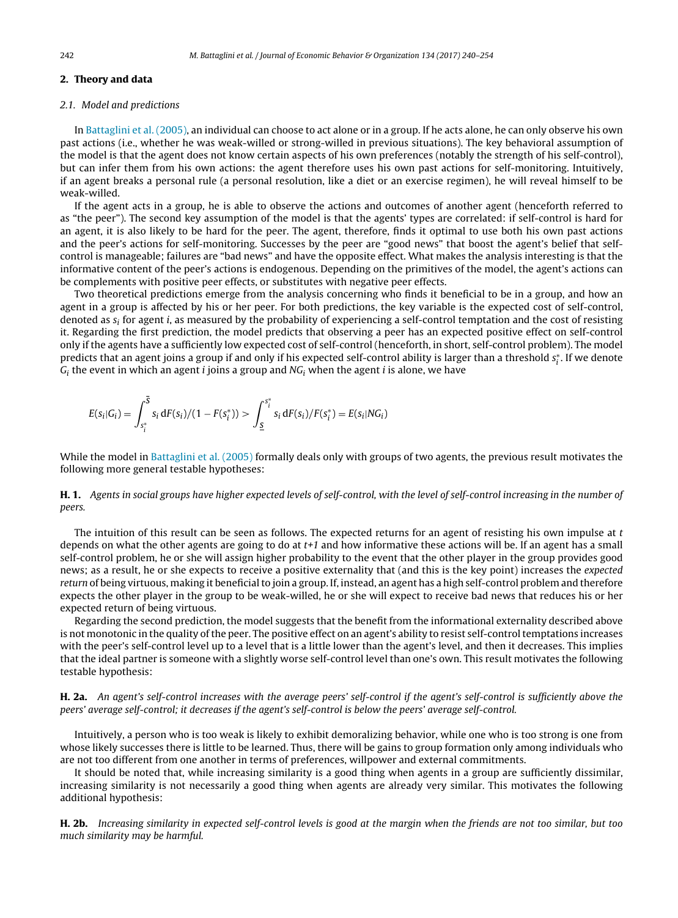## <span id="page-2-0"></span>**2. Theory and data**

## 2.1. Model and predictions

In [Battaglini](#page-14-0) et [al.](#page-14-0) [\(2005\),](#page-14-0) an individual can choose to act alone or in a group. If he acts alone, he can only observe his own past actions (i.e., whether he was weak-willed or strong-willed in previous situations). The key behavioral assumption of the model is that the agent does not know certain aspects of his own preferences (notably the strength of his self-control), but can infer them from his own actions: the agent therefore uses his own past actions for self-monitoring. Intuitively, if an agent breaks a personal rule (a personal resolution, like a diet or an exercise regimen), he will reveal himself to be weak-willed.

If the agent acts in a group, he is able to observe the actions and outcomes of another agent (henceforth referred to as "the peer"). The second key assumption of the model is that the agents' types are correlated: if self-control is hard for an agent, it is also likely to be hard for the peer. The agent, therefore, finds it optimal to use both his own past actions and the peer's actions for self-monitoring. Successes by the peer are "good news" that boost the agent's belief that selfcontrol is manageable; failures are "bad news" and have the opposite effect. What makes the analysis interesting is that the informative content of the peer's actions is endogenous. Depending on the primitives of the model, the agent's actions can be complements with positive peer effects, or substitutes with negative peer effects.

Two theoretical predictions emerge from the analysis concerning who finds it beneficial to be in a group, and how an agent in a group is affected by his or her peer. For both predictions, the key variable is the expected cost of self-control, denoted as  $s_i$  for agent i, as measured by the probability of experiencing a self-control temptation and the cost of resisting it. Regarding the first prediction, the model predicts that observing a peer has an expected positive effect on self-control only if the agents have a sufficiently low expected cost of self-control (henceforth, in short, self-control problem). The model predicts that an agent joins a group if and only if his expected self-control ability is larger than a threshold  $s_i^*$ . If we denote  $G_i$  the event in which an agent *i* joins a group and  $NG_i$  when the agent *i* is alone, we have

$$
E(s_i|G_i) = \int_{s_i^*}^{\overline{S}} s_i dF(s_i)/(1 - F(s_i^*)) > \int_{\underline{S}}^{s_i^*} s_i dF(s_i)/F(s_i^*) = E(s_i|NG_i)
$$

While the model in [Battaglini](#page-14-0) et [al.](#page-14-0) [\(2005\)](#page-14-0) formally deals only with groups of two agents, the previous result motivates the following more general testable hypotheses:

**H. 1.** Agents in social groups have higher expected levels of self-control, with the level of self-control increasing in the number of peers.

The intuition of this result can be seen as follows. The expected returns for an agent of resisting his own impulse at  $t$ depends on what the other agents are going to do at  $t+1$  and how informative these actions will be. If an agent has a small self-control problem, he or she will assign higher probability to the event that the other player in the group provides good news; as a result, he or she expects to receive a positive externality that (and this is the key point) increases the expected return of being virtuous, making it beneficial to join a group. If, instead, an agent has a high self-control problem and therefore expects the other player in the group to be weak-willed, he or she will expect to receive bad news that reduces his or her expected return of being virtuous.

Regarding the second prediction, the model suggests that the benefit from the informational externality described above is not monotonic in the quality of the peer. The positive effect on an agent's ability to resist self-control temptations increases with the peer's self-control level up to a level that is a little lower than the agent's level, and then it decreases. This implies that the ideal partner is someone with a slightly worse self-control level than one's own. This result motivates the following testable hypothesis:

**H. 2a.** An agent's self-control increases with the average peers' self-control if the agent's self-control is sufficiently above the peers' average self-control; it decreases if the agent's self-control is below the peers' average self-control.

Intuitively, a person who is too weak is likely to exhibit demoralizing behavior, while one who is too strong is one from whose likely successes there is little to be learned. Thus, there will be gains to group formation only among individuals who are not too different from one another in terms of preferences, willpower and external commitments.

It should be noted that, while increasing similarity is a good thing when agents in a group are sufficiently dissimilar, increasing similarity is not necessarily a good thing when agents are already very similar. This motivates the following additional hypothesis:

**H. 2b.** Increasing similarity in expected self-control levels is good at the margin when the friends are not too similar, but too much similarity may be harmful.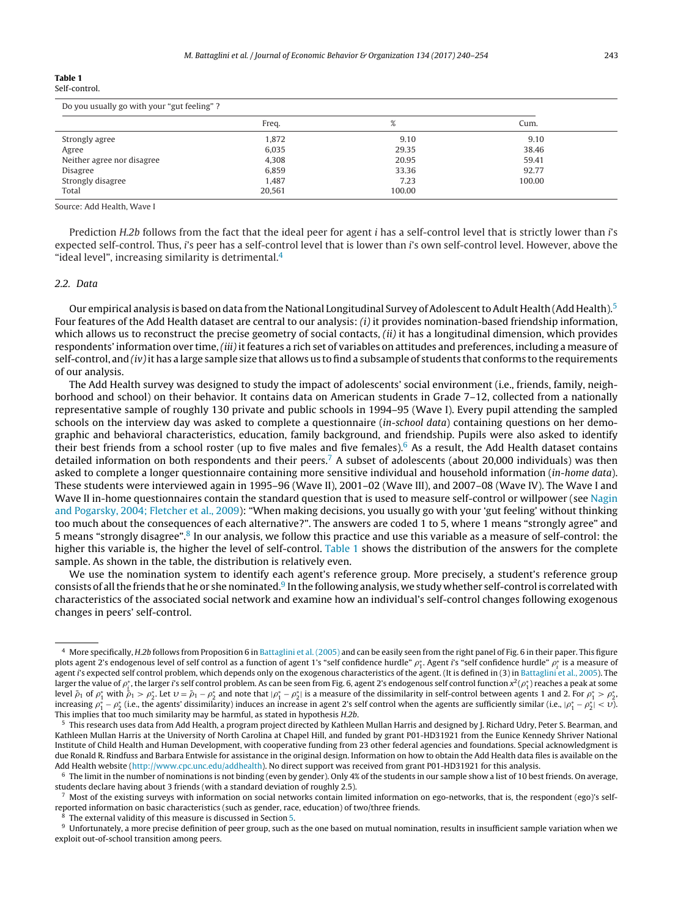#### **Table 1** Self-control.

| Do you usually go with your "gut feeling"? |        |        |        |  |
|--------------------------------------------|--------|--------|--------|--|
|                                            | Freq.  | %      | Cum.   |  |
| Strongly agree                             | 1,872  | 9.10   | 9.10   |  |
| Agree                                      | 6.035  | 29.35  | 38.46  |  |
| Neither agree nor disagree                 | 4.308  | 20.95  | 59.41  |  |
| Disagree                                   | 6.859  | 33.36  | 92.77  |  |
| Strongly disagree                          | 1.487  | 7.23   | 100.00 |  |
| Total                                      | 20,561 | 100.00 |        |  |

Source: Add Health, Wave I

Prediction H.2b follows from the fact that the ideal peer for agent *i* has a self-control level that is strictly lower than *i*'s expected self-control. Thus, i's peer has a self-control level that is lower than i's own self-control level. However, above the "ideal level", increasing similarity is detrimental.<sup>4</sup>

## 2.2. Data

Our empirical analysis is based on data from the National Longitudinal Survey of Adolescent to Adult Health (Add Health).<sup>5</sup> Four features of the Add Health dataset are central to our analysis:  $(i)$  it provides nomination-based friendship information, which allows us to reconstruct the precise geometry of social contacts,  $(ii)$  it has a longitudinal dimension, which provides respondents' information over time, (iii) it features a rich set of variables on attitudes and preferences, including a measure of self-control, and  $(iv)$  it has a large sample size that allows us to find a subsample of students that conforms to the requirements of our analysis.

The Add Health survey was designed to study the impact of adolescents' social environment (i.e., friends, family, neighborhood and school) on their behavior. It contains data on American students in Grade 7–12, collected from a nationally representative sample of roughly 130 private and public schools in 1994–95 (Wave I). Every pupil attending the sampled schools on the interview day was asked to complete a questionnaire (in-school data) containing questions on her demographic and behavioral characteristics, education, family background, and friendship. Pupils were also asked to identify their best friends from a school roster (up to five males and five females).<sup>6</sup> As a result, the Add Health dataset contains detailed information on both respondents and their peers.<sup>7</sup> A subset of adolescents (about 20,000 individuals) was then asked to complete a longer questionnaire containing more sensitive individual and household information (in-home data). These students were interviewed again in 1995–96 (Wave II), 2001–02 (Wave III), and 2007–08 (Wave IV). The Wave I and Wave II in-home questionnaires contain the standard question that is used to measure self-control or willpower (see [Nagin](#page-14-0) [and](#page-14-0) [Pogarsky,](#page-14-0) [2004;](#page-14-0) [Fletcher](#page-14-0) et [al.,](#page-14-0) [2009\):](#page-14-0) "When making decisions, you usually go with your 'gut feeling' without thinking too much about the consequences of each alternative?". The answers are coded 1 to 5, where 1 means "strongly agree" and 5 means "strongly disagree".8 In our analysis, we follow this practice and use this variable as a measure of self-control: the higher this variable is, the higher the level of self-control. Table 1 shows the distribution of the answers for the complete sample. As shown in the table, the distribution is relatively even.

We use the nomination system to identify each agent's reference group. More precisely, a student's reference group consists of allthe friends that he or she nominated.9 In the following analysis, we study whether self-control is correlated with characteristics of the associated social network and examine how an individual's self-control changes following exogenous changes in peers' self-control.

The external validity of this measure is discussed in Section [5.](#page-10-0)

<sup>4</sup> More specifically, H.2b follows from Proposition 6 in [Battaglini](#page-14-0) et [al.](#page-14-0) [\(2005\)](#page-14-0) and can be easily seen from the right panel of Fig. 6 in their paper. This figure plots agent 2's endogenous level of self control as a function of agent 1's "self confidence hurdle"  $\rho_1^*$ . Agent i's "self confidence hurdle"  $\rho_i^*$  is a measure of agent i's expected self control problem, which depends only on the exogenous characteristics of the agent. (It is defined in (3) in [Battaglini](#page-14-0) et [al.,](#page-14-0) [2005\).](#page-14-0) The larger the value of  $\rho_i^*$ , the larger i's self control problem. As can be seen from Fig. 6, agent 2's endogenous self control function  $x^2(\rho_1^*)$  reaches a peak at some level  $\bar{\rho}_1$  of  $\rho_1^*$  with  $\dot{\bar{\rho}}_1 > \rho_2^*$ . Let  $v = \bar{\rho}_1 - \rho_2^*$  and note that  $|\rho_1^* - \rho_2^*|$  is a measure of the dissimilarity in self-control between agents 1 and 2. For  $\rho_1^* > \rho_2^*$ increasing  $\rho_1^*-\rho_2^*$  (i.e., the agents' dissimilarity) induces an increase in agent 2's self control when the agents are sufficiently similar (i.e.,  $|\rho_1^*-\rho_2^*|<\nu$ ). This implies that too much similarity may be harmful, as stated in hypothesis H.2b.

<sup>&</sup>lt;sup>5</sup> This research uses data from Add Health, a program project directed by Kathleen Mullan Harris and designed by J. Richard Udry, Peter S. Bearman, and Kathleen Mullan Harris at the University of North Carolina at Chapel Hill, and funded by grant P01-HD31921 from the Eunice Kennedy Shriver National Institute of Child Health and Human Development, with cooperative funding from 23 other federal agencies and foundations. Special acknowledgment is due Ronald R. Rindfuss and Barbara Entwisle for assistance in the original design. Information on how to obtain the Add Health data files is available on the Add Health website ([http://www.cpc.unc.edu/addhealth\)](http://www.cpc.unc.edu/addhealth). No direct support was received from grant P01-HD31921 for this analysis.

 $6$  The limit in the number of nominations is not binding (even by gender). Only 4% of the students in our sample show a list of 10 best friends. On average, students declare having about 3 friends (with a standard deviation of roughly 2.5).

 $^7$  Most of the existing surveys with information on social networks contain limited information on ego-networks, that is, the respondent (ego)'s selfreported information on basic characteristics (such as gender, race, education) of two/three friends.

 $9$  Unfortunately, a more precise definition of peer group, such as the one based on mutual nomination, results in insufficient sample variation when we exploit out-of-school transition among peers.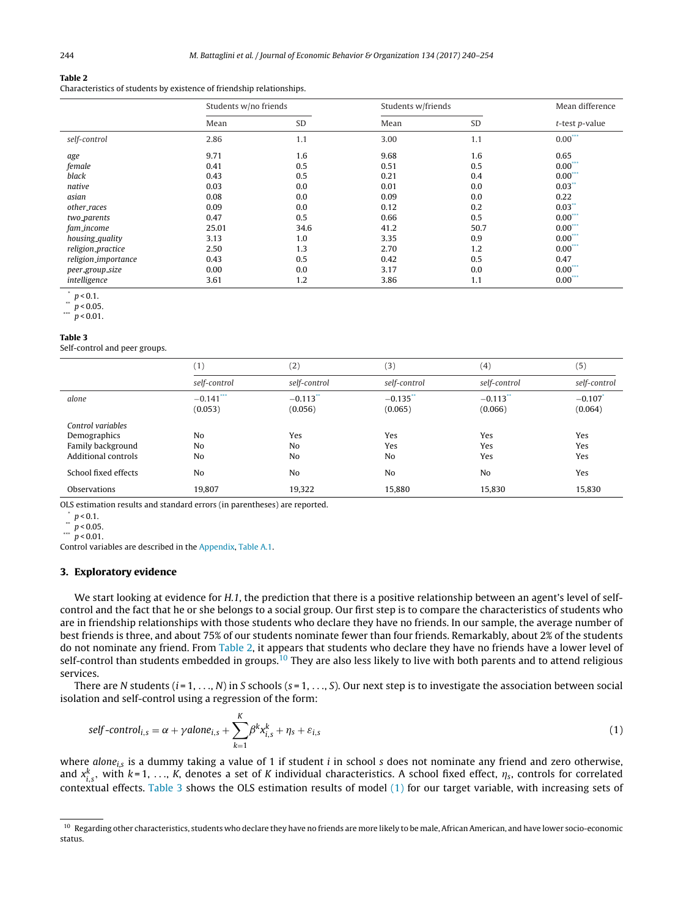<span id="page-4-0"></span>Characteristics of students by existence of friendship relationships.

|                         | Students w/no friends |      |      | Students w/friends |                      |
|-------------------------|-----------------------|------|------|--------------------|----------------------|
|                         | Mean                  | SD   | Mean | SD                 | $t$ -test $p$ -value |
| self-control            | 2.86                  | 1.1  | 3.00 | 1.1                | $0.00***$            |
| age                     | 9.71                  | 1.6  | 9.68 | 1.6                | 0.65                 |
| female                  | 0.41                  | 0.5  | 0.51 | 0.5                | $0.00***$            |
| black                   | 0.43                  | 0.5  | 0.21 | 0.4                | $0.00***$            |
| native                  | 0.03                  | 0.0  | 0.01 | 0.0                | $0.03$ **            |
| asian                   | 0.08                  | 0.0  | 0.09 | 0.0                | 0.22                 |
| other_races             | 0.09                  | 0.0  | 0.12 | 0.2                | $0.03$ **            |
| two <sub>-parents</sub> | 0.47                  | 0.5  | 0.66 | 0.5                | $0.00***$            |
| fam_income              | 25.01                 | 34.6 | 41.2 | 50.7               | $0.00***$            |
| housing_quality         | 3.13                  | 1.0  | 3.35 | 0.9                | $0.00***$            |
| religion_practice       | 2.50                  | 1.3  | 2.70 | 1.2                | $0.00***$            |
| religion_importance     | 0.43                  | 0.5  | 0.42 | 0.5                | 0.47                 |
| peer_group_size         | 0.00                  | 0.0  | 3.17 | 0.0                | $0.00***$            |
| intelligence            | 3.61                  | 1.2  | 3.86 | 1.1                | $0.00***$            |

 $\frac{p}{p}$  < 0.1.

\*\*  $p < 0.05$ .

 $p < 0.01$ .

## **Table 3**

Self-control and peer groups.

|                      | (1)                    | (2)                               | (3)                    | (4)                               | (5)                              |
|----------------------|------------------------|-----------------------------------|------------------------|-----------------------------------|----------------------------------|
|                      | self-control           | self-control                      | self-control           | self-control                      | self-control                     |
| alone                | $-0.141***$<br>(0.053) | $-0.113$ <sup>**</sup><br>(0.056) | $-0.135$ **<br>(0.065) | $-0.113$ <sup>**</sup><br>(0.066) | $-0.107$ <sup>*</sup><br>(0.064) |
| Control variables    |                        |                                   |                        |                                   |                                  |
| Demographics         | N <sub>o</sub>         | Yes                               | Yes                    | Yes                               | Yes                              |
| Family background    | N <sub>o</sub>         | No                                | Yes                    | Yes                               | Yes                              |
| Additional controls  | N <sub>o</sub>         | No                                | No                     | Yes                               | Yes                              |
| School fixed effects | N <sub>o</sub>         | No                                | No                     | No                                | Yes                              |
| <b>Observations</b>  | 19,807                 | 19,322                            | 15,880                 | 15,830                            | 15,830                           |
|                      |                        |                                   |                        |                                   |                                  |

OLS estimation results and standard errors (in parentheses) are reported.

 $\binom{p}{1}$  p < 0.1.

\*\*  $p < 0.05$ .

 $p < 0.01$ .

Control variables are described in the [Appendix,](#page-12-0) [Table](#page-13-0) A.1.

## **3. Exploratory evidence**

We start looking at evidence for H.1, the prediction that there is a positive relationship between an agent's level of selfcontrol and the fact that he or she belongs to a social group. Our first step is to compare the characteristics of students who are in friendship relationships with those students who declare they have no friends. In our sample, the average number of best friends is three, and about 75% of our students nominate fewer than four friends. Remarkably, about 2% of the students do not nominate any friend. From Table 2, it appears that students who declare they have no friends have a lower level of self-control than students embedded in groups.<sup>10</sup> They are also less likely to live with both parents and to attend religious services.

There are N students  $(i = 1, ..., N)$  in S schools  $(s = 1, ..., S)$ . Our next step is to investigate the association between social isolation and self-control using a regression of the form:

$$
self-control_{i,s} = \alpha + \gamma alone_{i,s} + \sum_{k=1}^{K} \beta^k x_{i,s}^k + \eta_s + \varepsilon_{i,s}
$$
\n
$$
\tag{1}
$$

where alone<sub>i.s</sub> is a dummy taking a value of 1 if student i in school s does not nominate any friend and zero otherwise,<br>and xk<sub>i.s</sub>, with k=1, ..., K, denotes a set of K individual characteristics. A school fixed effect contextual effects. Table 3 shows the OLS estimation results of model (1) for our target variable, with increasing sets of

 $^{10}\,$  Regarding other characteristics, students who declare they have no friends are more likely to be male, African American, and have lower socio-economic status.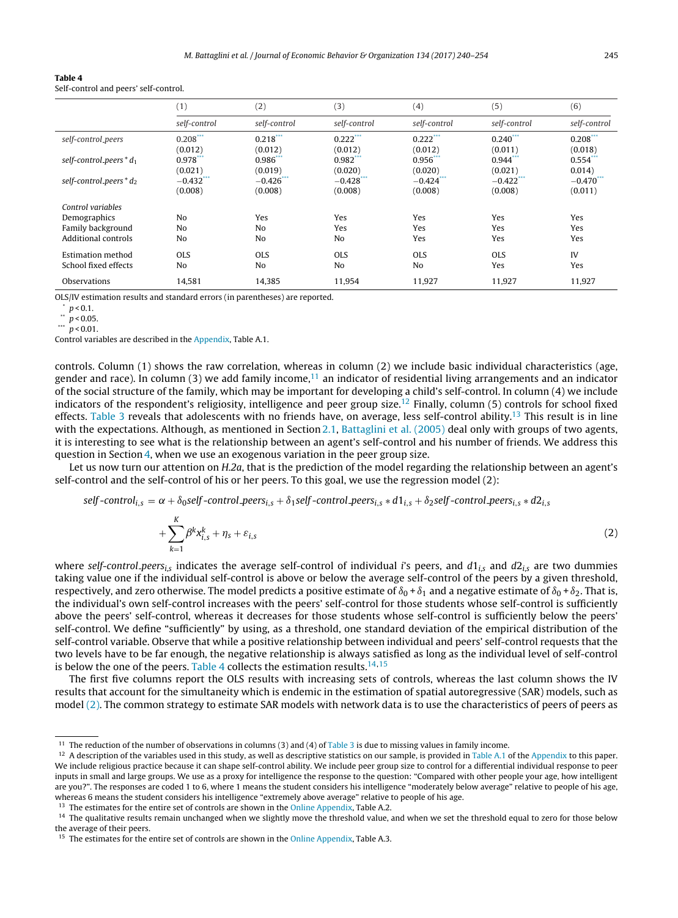<span id="page-5-0"></span>

| ונו |  |
|-----|--|
|-----|--|

Self-control and peers' self-control.

|                                                                               | (1)                        | (2)             | (3)                          | (4)               | (5)               | (6)               |
|-------------------------------------------------------------------------------|----------------------------|-----------------|------------------------------|-------------------|-------------------|-------------------|
|                                                                               | self-control               | self-control    | self-control                 | self-control      | self-control      | self-control      |
| self-control_peers                                                            | $0.208***$                 | $0.218***$      | $0.222***$                   | $0.222***$        | $0.240***$        | $0.208$ ***       |
|                                                                               | (0.012)                    | (0.012)         | (0.012)                      | (0.012)           | (0.011)           | (0.018)           |
| self-control_peers $* d_1$                                                    | $0.978***$                 | $0.986$ ***     | $0.982$ ***                  | $0.956$ **        | $0.944***$        | 0.554             |
|                                                                               | (0.021)                    | (0.019)         | (0.020)                      | (0.020)           | (0.021)           | 0.014)            |
| self-control_peers $* d_2$                                                    | $-0.432***$                | $-0.426$ ***    | $-0.428$ ***                 | $-0.424***$       | $-0.422$ ***      | $-0.470$ ***      |
|                                                                               | (0.008)                    | (0.008)         | (0.008)                      | (0.008)           | (0.008)           | (0.011)           |
| Control variables<br>Demographics<br>Family background<br>Additional controls | N <sub>0</sub><br>No<br>No | Yes<br>No<br>No | Yes<br>Yes<br>N <sub>o</sub> | Yes<br>Yes<br>Yes | Yes<br>Yes<br>Yes | Yes<br>Yes<br>Yes |
| <b>Estimation method</b>                                                      | <b>OLS</b>                 | <b>OLS</b>      | <b>OLS</b>                   | <b>OLS</b>        | OLS.              | IV                |
| School fixed effects                                                          | No                         | N <sub>0</sub>  | N <sub>o</sub>               | N <sub>0</sub>    | Yes               | Yes               |
| Observations                                                                  | 14,581                     | 14,385          | 11,954                       | 11,927            | 11,927            | 11,927            |

OLS/IV estimation results and standard errors (in parentheses) are reported.

 $\binom{p}{1}$   $p < 0.1$ .

\*\*  $p < 0.05$ .

Control variables are described in the [Appendix,](#page-12-0) Table A.1.

controls. Column (1) shows the raw correlation, whereas in column (2) we include basic individual characteristics (age, gender and race). In column (3) we add family income,<sup>11</sup> an indicator of residential living arrangements and an indicator of the social structure of the family, which may be important for developing a child's self-control. In column (4) we include indicators of the respondent's religiosity, intelligence and peer group size.12 Finally, column (5) controls for school fixed effects. [Table](#page-4-0) 3 reveals that adolescents with no friends have, on average, less self-control ability.<sup>13</sup> This result is in line with the expectations. Although, as mentioned in Section [2.1,](#page-2-0) [Battaglini](#page-14-0) et [al.](#page-14-0) [\(2005\)](#page-14-0) deal only with groups of two agents, it is interesting to see what is the relationship between an agent's self-control and his number of friends. We address this question in Section [4,](#page-7-0) when we use an exogenous variation in the peer group size.

Let us now turn our attention on H.2a, that is the prediction of the model regarding the relationship between an agent's self-control and the self-control of his or her peers. To this goal, we use the regression model (2):

self-control<sub>i,s</sub> =  $\alpha$  +  $\delta_0$ self-control.peers<sub>i,s</sub> +  $\delta_1$ self-control.peers<sub>i,s</sub> \* d1<sub>i,s</sub> +  $\delta_2$ self-control.peers<sub>i,s</sub> \* d2<sub>i,s</sub>

$$
+\sum_{k=1}^{K}\beta^k x_{i,s}^k + \eta_s + \varepsilon_{i,s} \tag{2}
$$

where self-control peers<sub>is</sub> indicates the average self-control of individual i's peers, and  $d1_{i,s}$  and  $d2_{i,s}$  are two dummies taking value one if the individual self-control is above or below the average self-control of the peers by a given threshold, respectively, and zero otherwise. The model predicts a positive estimate of  $\delta_0 + \delta_1$  and a negative estimate of  $\delta_0 + \delta_2$ . That is, the individual's own self-control increases with the peers' self-control for those students whose self-control is sufficiently above the peers' self-control, whereas it decreases for those students whose self-control is sufficiently below the peers' self-control. We define "sufficiently" by using, as a threshold, one standard deviation of the empirical distribution of the self-control variable. Observe that while a positive relationship between individual and peers' self-control requests that the two levels have to be far enough, the negative relationship is always satisfied as long as the individual level of self-control is below the one of the peers. Table 4 collects the estimation results. $14,15$ 

The first five columns report the OLS results with increasing sets of controls, whereas the last column shows the IV results that account for the simultaneity which is endemic in the estimation of spatial autoregressive (SAR) models, such as model (2). The common strategy to estimate SAR models with network data is to use the characteristics of peers of peers as

 $p < 0.01$ .

<sup>&</sup>lt;sup>11</sup> The reduction of the number of observations in columns (3) and (4) of [Table](#page-4-0) 3 is due to missing values in family income.

<sup>&</sup>lt;sup>12</sup> A description of the variables used in this study, as well as descriptive statistics on our sample, is provided in [Table](#page-13-0) A.1 of the [Appendix](#page-12-0) to this paper. We include religious practice because it can shape self-control ability. We include peer group size to control for a differential individual response to peer inputs in small and large groups. We use as a proxy for intelligence the response to the question: "Compared with other people your age, how intelligent are you?". The responses are coded 1 to 6, where 1 means the student considers his intelligence "moderately below average" relative to people of his age, whereas 6 means the student considers his intelligence "extremely above average" relative to people of his age.

<sup>&</sup>lt;sup>13</sup> The estimates for the entire set of controls are shown in the [Online](#page-14-0) [Appendix,](#page-14-0) Table A.2.

<sup>&</sup>lt;sup>14</sup> The qualitative results remain unchanged when we slightly move the threshold value, and when we set the threshold equal to zero for those below the average of their peers.

<sup>&</sup>lt;sup>15</sup> The estimates for the entire set of controls are shown in the [Online](#page-14-0) [Appendix,](#page-14-0) Table A.3.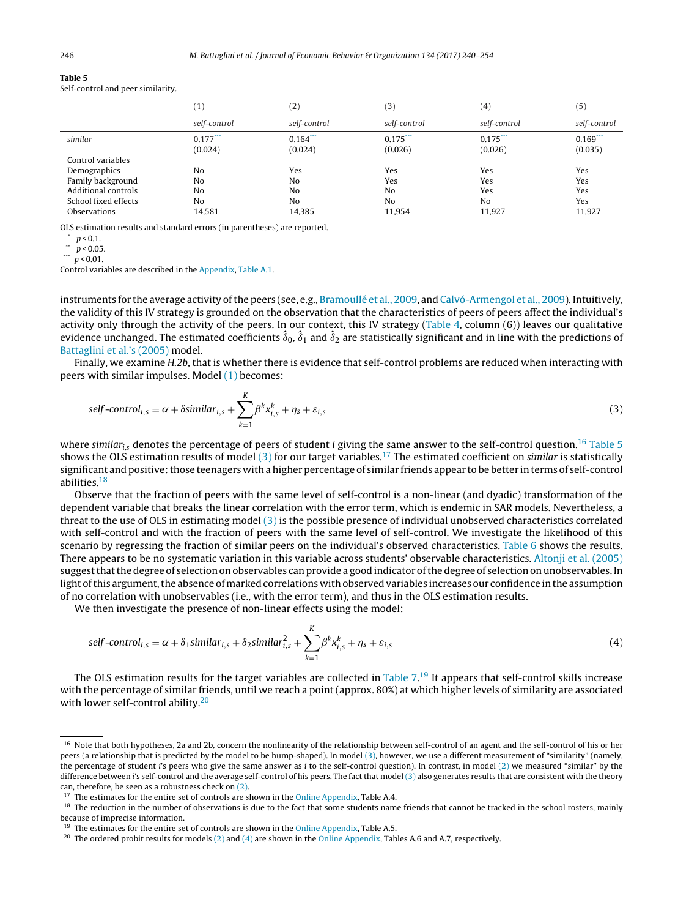<span id="page-6-0"></span>**Table 5** Self-control and peer similarity.

|                      | (1)            | (2)          | (3)          | (4)            | (5)          |
|----------------------|----------------|--------------|--------------|----------------|--------------|
|                      | self-control   | self-control | self-control | self-control   | self-control |
| similar              | $0.177***$     | $0.164$ ***  | $0.175***$   | $0.175***$     | $0.169***$   |
|                      | (0.024)        | (0.024)      | (0.026)      | (0.026)        | (0.035)      |
| Control variables    |                |              |              |                |              |
| Demographics         | N <sub>o</sub> | Yes          | Yes          | Yes            | Yes          |
| Family background    | N <sub>o</sub> | No           | Yes          | Yes            | Yes          |
| Additional controls  | N <sub>o</sub> | No           | No           | Yes            | Yes          |
| School fixed effects | N <sub>o</sub> | No           | No           | N <sub>o</sub> | Yes          |
| Observations         | 14.581         | 14,385       | 11.954       | 11.927         | 11.927       |

OLS estimation results and standard errors (in parentheses) are reported.

\*  $p < 0.1$ .

 $p < 0.05$ .

```
*** \stackrel{r}{p} < 0.01.
```
Control variables are described in the [Appendix,](#page-12-0) [Table](#page-13-0) A.1.

instruments for the average activity of the peers (see, e.g., [Bramoullé](#page-14-0) et [al.,](#page-14-0) [2009,](#page-14-0) and [Calvó-Armengol](#page-14-0) et al., [2009\).](#page-14-0) Intuitively, the validity of this IV strategy is grounded on the observation that the characteristics of peers of peers affect the individual's activity only through the activity of the peers. In our context, this IV strategy [\(Table](#page-5-0) 4, column (6)) leaves our qualitative evidence unchanged. The estimated coefficients  $\hat{\delta}_0$ ,  $\hat{\delta}_1$  and  $\hat{\delta}_2$  are statistically significant and in line with the predictions of [Battaglini](#page-14-0) et [al.'s](#page-14-0) [\(2005\)](#page-14-0) model.

Finally, we examine H.2b, that is whether there is evidence that self-control problems are reduced when interacting with peers with similar impulses. Model [\(1\)](#page-4-0) becomes:

$$
self-control_{i,s} = \alpha + \delta similar_{i,s} + \sum_{k=1}^{K} \beta^k x_{i,s}^k + \eta_s + \varepsilon_{i,s}
$$
\n(3)

where similar<sub>is</sub> denotes the percentage of peers of student *i* giving the same answer to the self-control question.<sup>16</sup> Table 5 shows the OLS estimation results of model  $(3)$  for our target variables.<sup>17</sup> The estimated coefficient on *similar* is statistically significant and positive: those teenagers with a higher percentage of similar friends appear to be better in terms of self-control abilities.18

Observe that the fraction of peers with the same level of self-control is a non-linear (and dyadic) transformation of the dependent variable that breaks the linear correlation with the error term, which is endemic in SAR models. Nevertheless, a threat to the use of OLS in estimating model (3) is the possible presence of individual unobserved characteristics correlated with self-control and with the fraction of peers with the same level of self-control. We investigate the likelihood of this scenario by regressing the fraction of similar peers on the individual's observed characteristics. [Table](#page-7-0) 6 shows the results. There appears to be no systematic variation in this variable across students' observable characteristics. [Altonji](#page-14-0) et [al.](#page-14-0) [\(2005\)](#page-14-0) suggest that the degree of selection on observables can provide a good indicator of the degree of selection on unobservables. In light of this argument, the absence of marked correlations with observed variables increases our confidence in the assumption of no correlation with unobservables (i.e., with the error term), and thus in the OLS estimation results.

We then investigate the presence of non-linear effects using the model:

$$
self-control_{i,s} = \alpha + \delta_1 \text{similar}_{i,s} + \delta_2 \text{similar}_{i,s}^2 + \sum_{k=1}^{K} \beta^k x_{i,s}^k + \eta_s + \varepsilon_{i,s}
$$
\n
$$
\tag{4}
$$

The OLS estimation results for the target variables are collected in [Table](#page-7-0) 7. <sup>19</sup> It appears that self-control skills increase with the percentage of similar friends, until we reach a point (approx. 80%) at which higher levels of similarity are associated with lower self-control ability.<sup>20</sup>

<sup>&</sup>lt;sup>16</sup> Note that both hypotheses, 2a and 2b, concern the nonlinearity of the relationship between self-control of an agent and the self-control of his or her peers (a relationship that is predicted by the model to be hump-shaped). In model (3), however, we use a different measurement of "similarity" (namely, the percentage of student i's peers who give the same answer as i to the self-control question). In contrast, in model [\(2\)](#page-5-0) we measured "similar" by the difference between i's self-control and the average self-control of his peers. The fact that model (3) also generates results that are consistent with the theory can, therefore, be seen as a robustness check on [\(2\).](#page-5-0)

 $17$  The estimates for the entire set of controls are shown in the [Online](#page-14-0) [Appendix,](#page-14-0) Table A.4.

<sup>&</sup>lt;sup>18</sup> The reduction in the number of observations is due to the fact that some students name friends that cannot be tracked in the school rosters, mainly because of imprecise information.

<sup>&</sup>lt;sup>19</sup> The estimates for the entire set of controls are shown in the [Online](#page-14-0) [Appendix,](#page-14-0) Table A.5.

<sup>&</sup>lt;sup>20</sup> The ordered probit results for models [\(2\)](#page-5-0) and (4) are shown in the [Online](#page-14-0) [Appendix,](#page-14-0) Tables A.6 and A.7, respectively.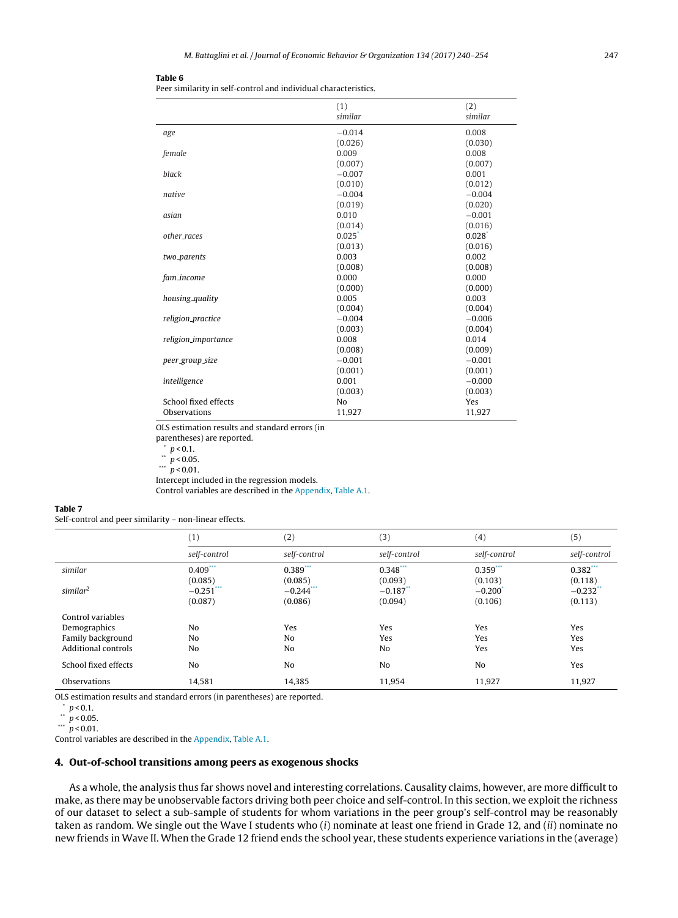<span id="page-7-0"></span>Peer similarity in self-control and individual characteristics.

|                         | (1)                  | (2)                  |
|-------------------------|----------------------|----------------------|
|                         | similar              | similar              |
| age                     | $-0.014$             | 0.008                |
|                         | (0.026)              | (0.030)              |
| female                  | 0.009                | 0.008                |
|                         | (0.007)              | (0.007)              |
| black                   | $-0.007$             | 0.001                |
|                         | (0.010)              | (0.012)              |
| native                  | $-0.004$             | $-0.004$             |
|                         | (0.019)              | (0.020)              |
| asian                   | 0.010                | $-0.001$             |
|                         | (0.014)              | (0.016)              |
| other races             | $0.025$ <sup>*</sup> | $0.028$ <sup>*</sup> |
|                         | (0.013)              | (0.016)              |
| two <sub>-parents</sub> | 0.003                | 0.002                |
|                         | (0.008)              | (0.008)              |
| fam_income              | 0.000                | 0.000                |
|                         | (0.000)              | (0.000)              |
| housing_quality         | 0.005                | 0.003                |
|                         | (0.004)              | (0.004)              |
| religion_practice       | $-0.004$             | $-0.006$             |
|                         | (0.003)              | (0.004)              |
| religion_importance     | 0.008                | 0.014                |
|                         | (0.008)              | (0.009)              |
| peer_group_size         | $-0.001$             | $-0.001$             |
|                         | (0.001)              | (0.001)              |
| intelligence            | 0.001                | $-0.000$             |
|                         | (0.003)              | (0.003)              |
| School fixed effects    | No                   | Yes                  |
| Observations            | 11,927               | 11,927               |
|                         |                      |                      |

OLS estimation results and standard errors (in

parentheses) are reported.

 $p < 0.1$ .

 $\sqrt{p}$  < 0.05.

 $\frac{m}{p}$  > 0.01.

Intercept included in the regression models.

Control variables are described in the [Appendix,](#page-12-0) [Table](#page-13-0) A.1.

## **Table 7**

Self-control and peer similarity – non-linear effects.

|                      | (1)            | (2)               | (3)          | (4)            | (5)          |
|----------------------|----------------|-------------------|--------------|----------------|--------------|
|                      | self-control   | self-control      | self-control | self-control   | self-control |
| similar              | $0.409***$     | $0.389***$        | $0.348***$   | $0.359***$     | $0.382***$   |
|                      | (0.085)        | (0.085)           | (0.093)      | (0.103)        | (0.118)      |
| similar <sup>2</sup> | $-0.251$ ***   | $-0.244$ $\cdots$ | $-0.187$ **  | $-0.200$       | $-0.232$     |
|                      | (0.087)        | (0.086)           | (0.094)      | (0.106)        | (0.113)      |
| Control variables    |                |                   |              |                |              |
| Demographics         | No             | Yes               | Yes          | Yes            | Yes          |
| Family background    | N <sub>o</sub> | No                | Yes          | Yes            | Yes          |
| Additional controls  | N <sub>o</sub> | No                | No           | Yes            | Yes          |
| School fixed effects | N <sub>o</sub> | No                | No           | N <sub>o</sub> | Yes          |
| Observations         | 14,581         | 14,385            | 11,954       | 11,927         | 11,927       |

OLS estimation results and standard errors (in parentheses) are reported.

 $\binom{p}{y}$  = 0.1.

 $*$   $p < 0.05$ .

 $\frac{m}{p}$  < 0.01.

Control variables are described in the [Appendix,](#page-12-0) [Table](#page-13-0) A.1.

## **4. Out-of-school transitions among peers as exogenous shocks**

As a whole, the analysis thus far shows novel and interesting correlations. Causality claims, however, are more difficult to make, as there may be unobservable factors driving both peer choice and self-control. In this section, we exploit the richness of our dataset to select a sub-sample of students for whom variations in the peer group's self-control may be reasonably taken as random. We single out the Wave I students who (i) nominate at least one friend in Grade 12, and (ii) nominate no new friends in Wave II. When the Grade 12 friend ends the school year, these students experience variations in the (average)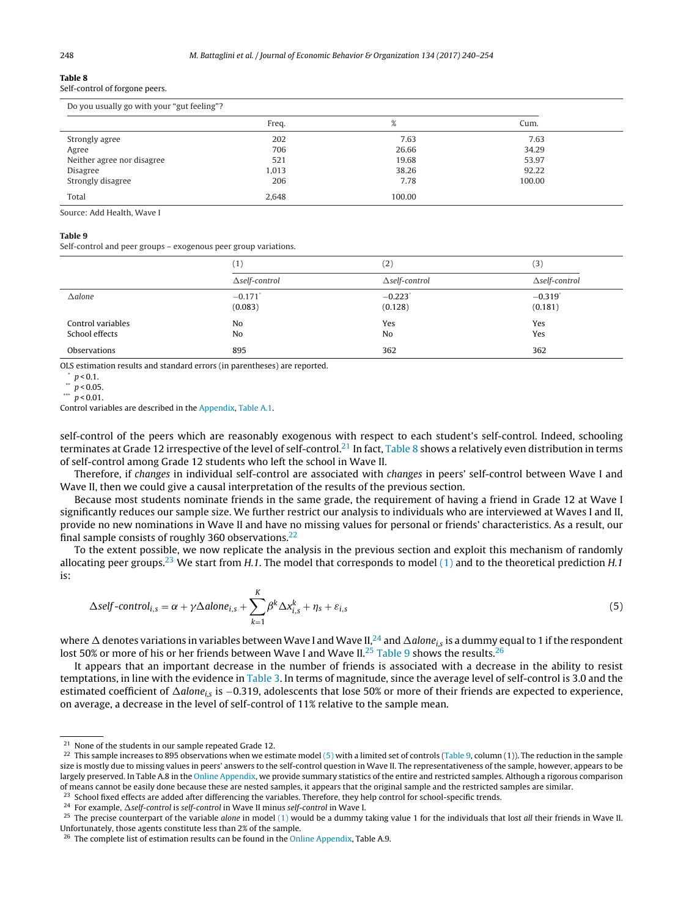<span id="page-8-0"></span>

| Self-control of forgone peers. |  |  |  |  |
|--------------------------------|--|--|--|--|
|--------------------------------|--|--|--|--|

| Do you usually go with your "gut feeling"? |       |        |        |  |
|--------------------------------------------|-------|--------|--------|--|
|                                            | Freq. | %      | Cum.   |  |
| Strongly agree                             | 202   | 7.63   | 7.63   |  |
| Agree                                      | 706   | 26.66  | 34.29  |  |
| Neither agree nor disagree                 | 521   | 19.68  | 53.97  |  |
| Disagree                                   | 1.013 | 38.26  | 92.22  |  |
| Strongly disagree                          | 206   | 7.78   | 100.00 |  |
| Total                                      | 2.648 | 100.00 |        |  |

Source: Add Health, Wave I

## **Table 9**

Self-control and peer groups – exogenous peer group variations.

|                                     | (1)                              | (2)                   | (3)                              |
|-------------------------------------|----------------------------------|-----------------------|----------------------------------|
|                                     | $\Delta$ self-control            | $\Delta$ self-control | $\Delta$ self-control            |
| $\triangle$ alone                   | $-0.171$ <sup>*</sup><br>(0.083) | $-0.223$<br>(0.128)   | $-0.319$ <sup>*</sup><br>(0.181) |
| Control variables<br>School effects | N <sub>0</sub><br>N <sub>0</sub> | Yes<br>No             | Yes<br>Yes                       |
| Observations                        | 895                              | 362                   | 362                              |

OLS estimation results and standard errors (in parentheses) are reported.

 $p < 0.1$ .

 $p < 0.05$ .

\*\*\*  $\frac{p}{p}$  < 0.01.

Control variables are described in the [Appendix,](#page-12-0) [Table](#page-13-0) A.1.

self-control of the peers which are reasonably exogenous with respect to each student's self-control. Indeed, schooling terminates at Grade 12 irrespective of the level of self-control.<sup>21</sup> In fact, Table 8 shows a relatively even distribution in terms of self-control among Grade 12 students who left the school in Wave II.

Therefore, if changes in individual self-control are associated with changes in peers' self-control between Wave I and Wave II, then we could give a causal interpretation of the results of the previous section.

Because most students nominate friends in the same grade, the requirement of having a friend in Grade 12 at Wave I significantly reduces our sample size. We further restrict our analysis to individuals who are interviewed at Waves I and II, provide no new nominations in Wave II and have no missing values for personal or friends' characteristics. As a result, our final sample consists of roughly 360 observations.<sup>22</sup>

To the extent possible, we now replicate the analysis in the previous section and exploit this mechanism of randomly allocating peer groups.<sup>23</sup> We start from H.1. The model that corresponds to model [\(1\)](#page-4-0) and to the theoretical prediction H.1 is:

$$
\Delta self-control_{i,s} = \alpha + \gamma \Delta alone_{i,s} + \sum_{k=1}^{K} \beta^k \Delta x_{i,s}^k + \eta_s + \varepsilon_{i,s}
$$
\n(5)

where  $\Delta$  denotes variations in variables between Wave I and Wave II,  $^{24}$  and  $\Delta$ alone<sub>is</sub> is a dummy equal to 1 if the respondent lost 50% or more of his or her friends between Wave I and Wave II.<sup>25</sup> Table 9 shows the results.<sup>26</sup>

It appears that an important decrease in the number of friends is associated with a decrease in the ability to resist temptations, in line with the evidence in [Table](#page-4-0) 3. In terms of magnitude, since the average level of self-control is 3.0 and the estimated coefficient of  $\Delta$ alone<sub>is</sub> is −0.319, adolescents that lose 50% or more of their friends are expected to experience, on average, a decrease in the level of self-control of 11% relative to the sample mean.

<sup>24</sup> For example,  $\Delta$ self-control is self-control in Wave II minus self-control in Wave I.

<sup>&</sup>lt;sup>21</sup> None of the students in our sample repeated Grade 12.

<sup>&</sup>lt;sup>22</sup> This sample increases to 895 observations when we estimate model (5) with a limited set of controls (Table 9, column (1)). The reduction in the sample size is mostly due to missing values in peers' answers to the self-control question in Wave II. The representativeness of the sample, however, appears to be largely preserved. In Table A.8 in the [Online](#page-14-0) [Appendix,](#page-14-0) we provide summary statistics of the entire and restricted samples. Although a rigorous comparison of means cannot be easily done because these are nested samples, it appears that the original sample and the restricted samples are similar.

<sup>&</sup>lt;sup>23</sup> School fixed effects are added after differencing the variables. Therefore, they help control for school-specific trends.

<sup>&</sup>lt;sup>25</sup> The precise counterpart of the variable *alone* in model [\(1\)](#page-4-0) would be a dummy taking value 1 for the individuals that lost *all* their friends in Wave II. Unfortunately, those agents constitute less than 2% of the sample.

<sup>&</sup>lt;sup>26</sup> The complete list of estimation results can be found in the [Online](#page-14-0) [Appendix,](#page-14-0) Table A.9.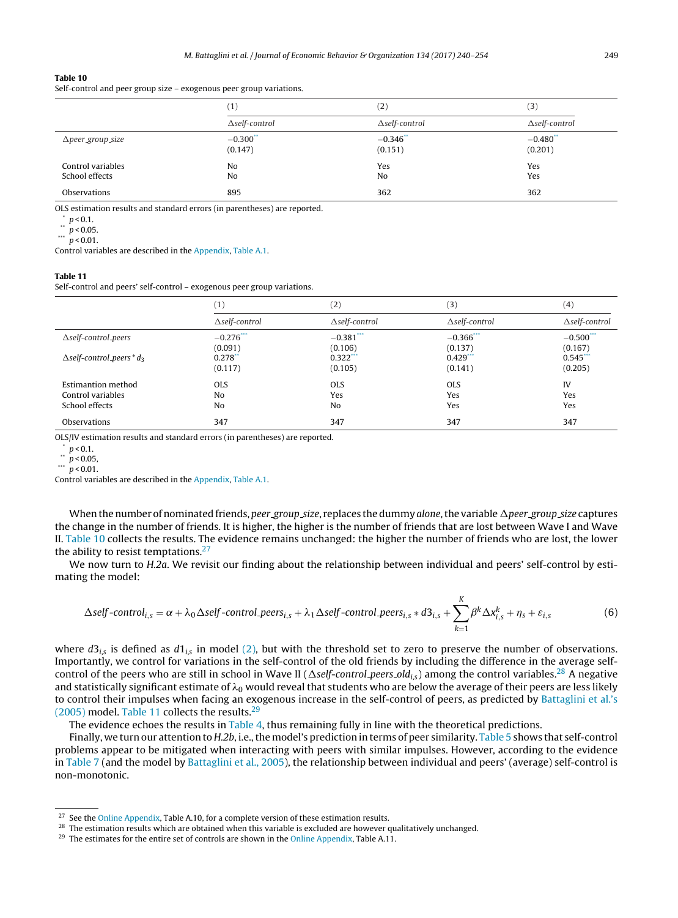<span id="page-9-0"></span>Self-control and peer group size – exogenous peer group variations.

|                                     | (1)                    | (2)                    | (3)                               |
|-------------------------------------|------------------------|------------------------|-----------------------------------|
|                                     | $\Delta$ self-control  | $\Delta$ self-control  | $\Delta$ self-control             |
| $\Delta$ peer_group_size            | $-0.300$ **<br>(0.147) | $-0.346$ **<br>(0.151) | $-0.480$ <sup>**</sup><br>(0.201) |
| Control variables<br>School effects | No<br>No               | Yes<br>N <sub>o</sub>  | Yes<br>Yes                        |
| Observations                        | 895                    | 362                    | 362                               |

OLS estimation results and standard errors (in parentheses) are reported.

 $\binom{p}{y}$  = 0.1.

 $p < 0.05$ .

\*\*\*  $p$  < 0.01.

Control variables are described in the [Appendix,](#page-12-0) [Table](#page-13-0) A.1.

## **Table 11**

Self-control and peers' self-control – exogenous peer group variations.

|                                              | $\left(1\right)$      | $\left( 2\right)$     | (3)                   | $^{(4)}$              |
|----------------------------------------------|-----------------------|-----------------------|-----------------------|-----------------------|
|                                              | $\Delta$ self-control | $\Delta$ self-control | $\Delta$ self-control | $\Delta$ self-control |
| $\Delta$ self-control_peers                  | $-0.276$ ***          | $-0.381$ ***          | $-0.366$ ***          | $-0.500***$           |
|                                              | (0.091)               | (0.106)               | (0.137)               | (0.167)               |
| $\Delta$ self-control_peers * d <sub>3</sub> | 0.278                 | $0.322$ ***           | 0.429                 | $0.545$ **            |
|                                              | (0.117)               | (0.105)               | (0.141)               | (0.205)               |
| Estimantion method                           | <b>OLS</b>            | <b>OLS</b>            | <b>OLS</b>            | IV                    |
| Control variables                            | No                    | Yes                   | Yes                   | Yes                   |
| School effects                               | N <sub>o</sub>        | No                    | Yes                   | Yes                   |
| Observations                                 | 347                   | 347                   | 347                   | 347                   |

OLS/IV estimation results and standard errors (in parentheses) are reported.

 $p < 0.05$ ,

\*\*\*  $\frac{p}{p}$  < 0.01.

Control variables are described in the [Appendix,](#page-12-0) [Table](#page-13-0) A.1.

When the number of nominated friends, peer group size, replaces the dummy alone, the variable  $\Delta$ peer group size captures the change in the number of friends. It is higher, the higher is the number of friends that are lost between Wave I and Wave II. Table 10 collects the results. The evidence remains unchanged: the higher the number of friends who are lost, the lower the ability to resist temptations.<sup>27</sup>

We now turn to H.2a. We revisit our finding about the relationship between individual and peers' self-control by estimating the model:

$$
\Delta self-control_{i,s} = \alpha + \lambda_0 \Delta self-control\_peers_{i,s} + \lambda_1 \Delta self-control\_peers_{i,s} * d3_{i,s} + \sum_{k=1}^{K} \beta^k \Delta x_{i,s}^k + \eta_s + \varepsilon_{i,s}
$$
(6)

where  $d3_{i,s}$  is defined as  $d1_{i,s}$  in model [\(2\),](#page-5-0) but with the threshold set to zero to preserve the number of observations. Importantly, we control for variations in the self-control of the old friends by including the difference in the average selfcontrol of the peers who are still in school in Wave II ( $\Delta$ self-control peers old<sub>is</sub>) among the control variables.<sup>28</sup> A negative and statistically significant estimate of  $\lambda_0$  would reveal that students who are below the average of their peers are less likely to control their impulses when facing an exogenous increase in the self-control of peers, as predicted by [Battaglini](#page-14-0) et [al.'s](#page-14-0)  $(2005)$  model. Table 11 collects the results.<sup>29</sup>

The evidence echoes the results in [Table](#page-5-0) 4, thus remaining fully in line with the theoretical predictions.

Finally, we turn our attention to H.2b, i.e., the model's prediction in terms of peer similarity. [Table](#page-6-0) 5 shows that self-control problems appear to be mitigated when interacting with peers with similar impulses. However, according to the evidence in [Table](#page-7-0) 7 (and the model by [Battaglini](#page-14-0) et [al.,](#page-14-0) [2005\),](#page-14-0) the relationship between individual and peers' (average) self-control is non-monotonic.

 $p < 0.1$ .

<sup>&</sup>lt;sup>27</sup> See the [Online](#page-14-0) [Appendix,](#page-14-0) Table A.10, for a complete version of these estimation results.

<sup>&</sup>lt;sup>28</sup> The estimation results which are obtained when this variable is excluded are however qualitatively unchanged.

<sup>&</sup>lt;sup>29</sup> The estimates for the entire set of controls are shown in the [Online](#page-14-0) [Appendix,](#page-14-0) Table A.11.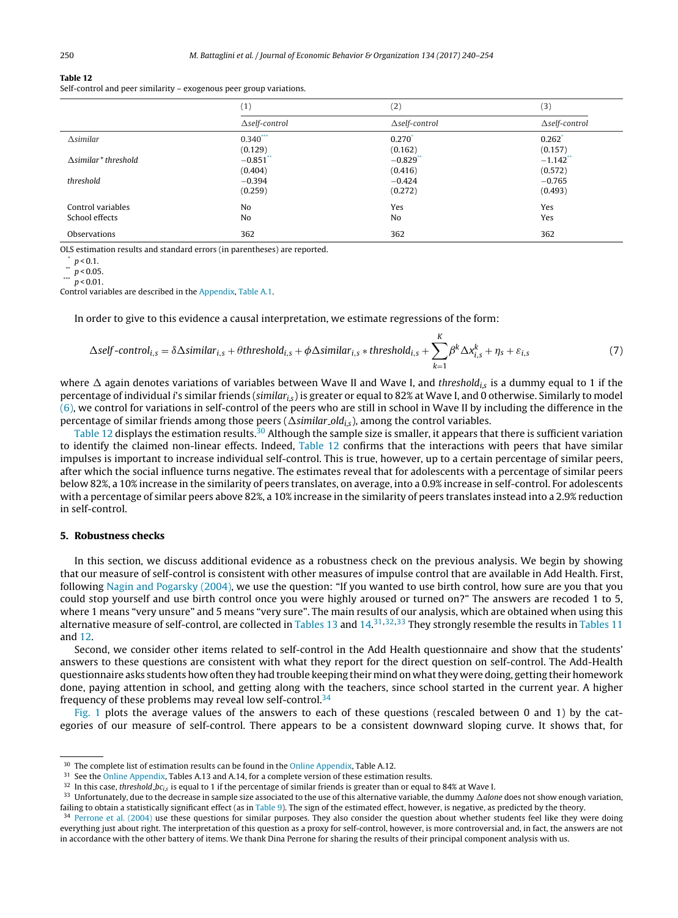<span id="page-10-0"></span>Self-control and peer similarity – exogenous peer group variations.

|                              | (1)                   | (2)                   | (3)                    |
|------------------------------|-----------------------|-----------------------|------------------------|
|                              | $\Delta$ self-control | $\Delta$ self-control | $\Delta$ self-control  |
| $\triangle$ similar          | $0.340***$            | $0.270^{*}$           | $0.262$ <sup>*</sup>   |
|                              | (0.129)               | (0.162)               | (0.157)                |
| $\Delta$ similar * threshold | $-0.851$ **           | $-0.829$              | $-1.142$ <sup>**</sup> |
|                              | (0.404)               | (0.416)               | (0.572)                |
| threshold                    | $-0.394$              | $-0.424$              | $-0.765$               |
|                              | (0.259)               | (0.272)               | (0.493)                |
| Control variables            | No                    | Yes                   | Yes                    |
| School effects               | N <sub>o</sub>        | No                    | Yes                    |
| Observations                 | 362                   | 362                   | 362                    |
|                              |                       |                       |                        |

OLS estimation results and standard errors (in parentheses) are reported.

 $\sum_{n=1}^{\infty} p < 0.1$ .

 $\frac{1}{p}$  < 0.05.

\*\*\*  $p < 0.01$ .

Control variables are described in the [Appendix,](#page-12-0) [Table](#page-13-0) A.1.

In order to give to this evidence a causal interpretation, we estimate regressions of the form:

$$
\Delta self-control_{i,s} = \delta \Delta similar_{i,s} + \theta threshold_{i,s} + \phi \Delta similar_{i,s} * threshold_{i,s} + \sum_{k=1}^{K} \beta^k \Delta x_{i,s}^k + \eta_s + \varepsilon_{i,s}
$$
(7)

where  $\Delta$  again denotes variations of variables between Wave II and Wave I, and threshold<sub>is</sub> is a dummy equal to 1 if the percentage of individual *i's similar friends (similar<sub>is</sub>)* is greater or equal to 82% at Wave I, and 0 otherwise. Similarly to model [\(6\),](#page-9-0) we control for variations in self-control of the peers who are still in school in Wave II by including the difference in the percentage of similar friends among those peers ( $\Delta$ similar old<sub>is</sub>), among the control variables.

Table 12 displays the estimation results.<sup>30</sup> Although the sample size is smaller, it appears that there is sufficient variation to identify the claimed non-linear effects. Indeed, Table 12 confirms that the interactions with peers that have similar impulses is important to increase individual self-control. This is true, however, up to a certain percentage of similar peers, after which the social influence turns negative. The estimates reveal that for adolescents with a percentage of similar peers below 82%, a 10% increase in the similarity of peers translates, on average, into a 0.9% increase in self-control. For adolescents with a percentage of similar peers above 82%, a 10% increase in the similarity of peers translates instead into a 2.9% reduction in self-control.

## **5. Robustness checks**

In this section, we discuss additional evidence as a robustness check on the previous analysis. We begin by showing that our measure of self-control is consistent with other measures of impulse control that are available in Add Health. First, following [Nagin](#page-14-0) [and](#page-14-0) [Pogarsky](#page-14-0) [\(2004\),](#page-14-0) we use the question: "If you wanted to use birth control, how sure are you that you could stop yourself and use birth control once you were highly aroused or turned on?" The answers are recoded 1 to 5, where 1 means "very unsure" and 5 means "very sure". The main results of our analysis, which are obtained when using this alternative measure of self-control, are collected in [Tables](#page-9-0) 13 and  $14.31.32.33$  $14.31.32.33$  They strongly resemble the results in Tables 11 and 12.

Second, we consider other items related to self-control in the Add Health questionnaire and show that the students' answers to these questions are consistent with what they report for the direct question on self-control. The Add-Health questionnaire asks students how often they had trouble keeping their mind on whatthey were doing, getting their homework done, paying attention in school, and getting along with the teachers, since school started in the current year. A higher frequency of these problems may reveal low self-control.<sup>34</sup>

[Fig.](#page-11-0) 1 plots the average values of the answers to each of these questions (rescaled between 0 and 1) by the categories of our measure of self-control. There appears to be a consistent downward sloping curve. It shows that, for

<sup>&</sup>lt;sup>30</sup> The complete list of estimation results can be found in the [Online](#page-14-0) [Appendix,](#page-14-0) Table A.12.

<sup>&</sup>lt;sup>31</sup> See the [Online](#page-14-0) [Appendix,](#page-14-0) Tables A.13 and A.14, for a complete version of these estimation results.

<sup>&</sup>lt;sup>32</sup> In this case, threshold  $bc_{i,s}$  is equal to 1 if the percentage of similar friends is greater than or equal to 84% at Wave I.

 $33$  Unfortunately, due to the decrease in sample size associated to the use of this alternative variable, the dummy  $\Delta$ alone does not show enough variation, failing to obtain a statistically significant effect (as in [Table](#page-8-0) 9). The sign of the estimated effect, however, is negative, as predicted by the theory.

<sup>&</sup>lt;sup>34</sup> [Perrone](#page-14-0) et [al.](#page-14-0) [\(2004\)](#page-14-0) use these questions for similar purposes. They also consider the question about whether students feel like they were doing everything just about right. The interpretation of this question as a proxy for self-control, however, is more controversial and, in fact, the answers are not in accordance with the other battery of items. We thank Dina Perrone for sharing the results of their principal component analysis with us.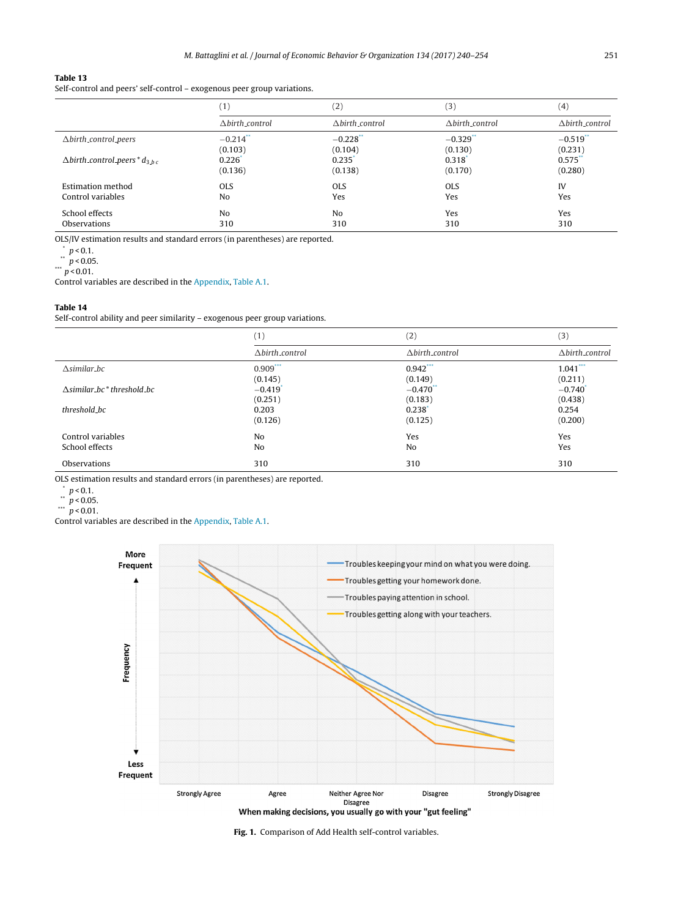<span id="page-11-0"></span>Self-control and peers' self-control – exogenous peer group variations.

|                                                  | (1)                    | (2)                    | (3)                    | (4)            |
|--------------------------------------------------|------------------------|------------------------|------------------------|----------------|
|                                                  | Abirth control         | $\Delta$ birth_control | $\Delta$ birth_control | Abirth control |
| $\Delta$ birth_control_peers                     | $-0.214$ <sup>**</sup> | $-0.228$ **            | $-0.329$ <sup>*</sup>  | $-0.519$       |
|                                                  | (0.103)                | (0.104)                | (0.130)                | (0.231)        |
| $\Delta$ birth_control_peers * d <sub>3 hc</sub> | 0.226                  | $0.235$ <sup>*</sup>   | $0.318$ <sup>*</sup>   | $0.575$ **     |
|                                                  | (0.136)                | (0.138)                | (0.170)                | (0.280)        |
| <b>Estimation method</b>                         | <b>OLS</b>             | <b>OLS</b>             | <b>OLS</b>             | IV             |
| Control variables                                | No                     | Yes                    | Yes                    | Yes            |
| School effects                                   | No                     | N <sub>0</sub>         | Yes                    | Yes            |
| Observations                                     | 310                    | 310                    | 310                    | 310            |

OLS/IV estimation results and standard errors (in parentheses) are reported.

 $\binom{p}{n}$  p < 0.1.

 $p < 0.05$ .

\*\*\*  $p > 0.03$ <br>p < 0.01.

Control variables are described in the [Appendix,](#page-12-0) [Table](#page-13-0) A.1.

## **Table 14**

Self-control ability and peer similarity – exogenous peer group variations.

|                                      | (1)                    | (2)                    | (3)                    |
|--------------------------------------|------------------------|------------------------|------------------------|
|                                      | $\Delta$ birth_control | $\Delta$ birth_control | $\Delta$ birth_control |
| $\triangle$ similar_bc               | $0.909***$             | $0.942***$             | $1.041***$             |
|                                      | (0.145)                | (0.149)                | (0.211)                |
| $\Delta$ similar_bc $*$ threshold_bc | $-0.419$ <sup>*</sup>  | $-0.470$               | $-0.740$ <sup>*</sup>  |
|                                      | (0.251)                | (0.183)                | (0.438)                |
| threshold_bc                         | 0.203                  | $0.238$ <sup>*</sup>   | 0.254                  |
|                                      | (0.126)                | (0.125)                | (0.200)                |
| Control variables                    | No                     | Yes                    | Yes                    |
| School effects                       | No                     | No                     | Yes                    |
| Observations                         | 310                    | 310                    | 310                    |

OLS estimation results and standard errors (in parentheses) are reported.

 $*$  p < 0.1.

 $\sqrt[3]{p}$  < 0.05.

 $\frac{m}{p}$  < 0.01.

Control variables are described in the [Appendix,](#page-12-0) [Table](#page-13-0) A.1.



**Fig. 1.** Comparison of Add Health self-control variables.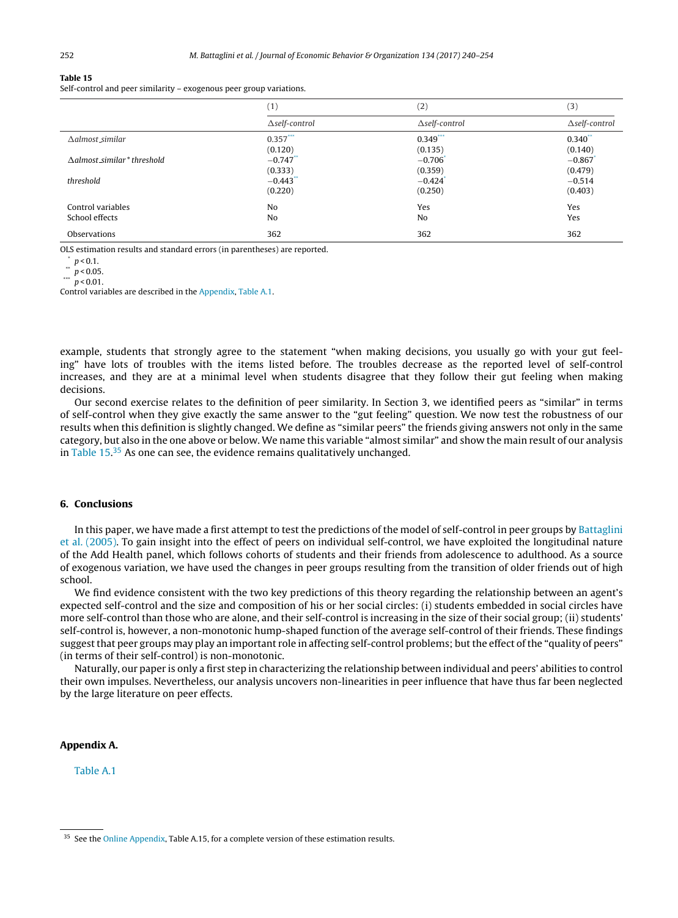<span id="page-12-0"></span>Self-control and peer similarity – exogenous peer group variations.

|                             | (1)                   | (2)                   | (3)                   |
|-----------------------------|-----------------------|-----------------------|-----------------------|
|                             | $\Delta$ self-control | $\Delta$ self-control | $\Delta$ self-control |
| $\Delta$ almost_similar     | $0.357***$            | $0.349$ ***           | $0.340$ **            |
|                             | (0.120)               | (0.135)               | (0.140)               |
| Aalmost similar * threshold | $-0.747$              | $-0.706$ <sup>*</sup> | $-0.867$              |
|                             | (0.333)               | (0.359)               | (0.479)               |
| threshold                   | $-0.443$              | $-0.424$ <sup>*</sup> | $-0.514$              |
|                             | (0.220)               | (0.250)               | (0.403)               |
| Control variables           | N <sub>0</sub>        | Yes                   | Yes                   |
| School effects              | No                    | No                    | Yes                   |
| Observations                | 362                   | 362                   | 362                   |

OLS estimation results and standard errors (in parentheses) are reported.

 $\sum_{n=1}^{\infty} p < 0.1$ .

 $\frac{1}{p}$  < 0.05.

\*\*\*  $p < 0.01$ .

Control variables are described in the Appendix, [Table](#page-13-0) A.1.

example, students that strongly agree to the statement "when making decisions, you usually go with your gut feeling" have lots of troubles with the items listed before. The troubles decrease as the reported level of self-control increases, and they are at a minimal level when students disagree that they follow their gut feeling when making decisions.

Our second exercise relates to the definition of peer similarity. In Section 3, we identified peers as "similar" in terms of self-control when they give exactly the same answer to the "gut feeling" question. We now test the robustness of our results when this definition is slightly changed. We define as "similar peers" the friends giving answers not only in the same category, but also in the one above or below. We name this variable "almost similar" and show the main result of our analysis in Table 15.<sup>35</sup> As one can see, the evidence remains qualitatively unchanged.

## **6. Conclusions**

In this paper, we have made a first attempt to test the predictions of the model of self-control in peer groups by [Battaglini](#page-14-0) et [al.](#page-14-0) [\(2005\).](#page-14-0) To gain insight into the effect of peers on individual self-control, we have exploited the longitudinal nature of the Add Health panel, which follows cohorts of students and their friends from adolescence to adulthood. As a source of exogenous variation, we have used the changes in peer groups resulting from the transition of older friends out of high school.

We find evidence consistent with the two key predictions of this theory regarding the relationship between an agent's expected self-control and the size and composition of his or her social circles: (i) students embedded in social circles have more self-control than those who are alone, and their self-control is increasing in the size of their social group; (ii) students' self-control is, however, a non-monotonic hump-shaped function of the average self-control of their friends. These findings suggestthat peer groups may play an important role in affecting self-control problems; butthe effect ofthe "quality of peers" (in terms of their self-control) is non-monotonic.

Naturally, our paper is only a first step in characterizing the relationship between individual and peers' abilities to control their own impulses. Nevertheless, our analysis uncovers non-linearities in peer influence that have thus far been neglected by the large literature on peer effects.

## **Appendix A.**

[Table](#page-13-0) A.1

<sup>&</sup>lt;sup>35</sup> See the [Online](#page-14-0) [Appendix,](#page-14-0) Table A.15, for a complete version of these estimation results.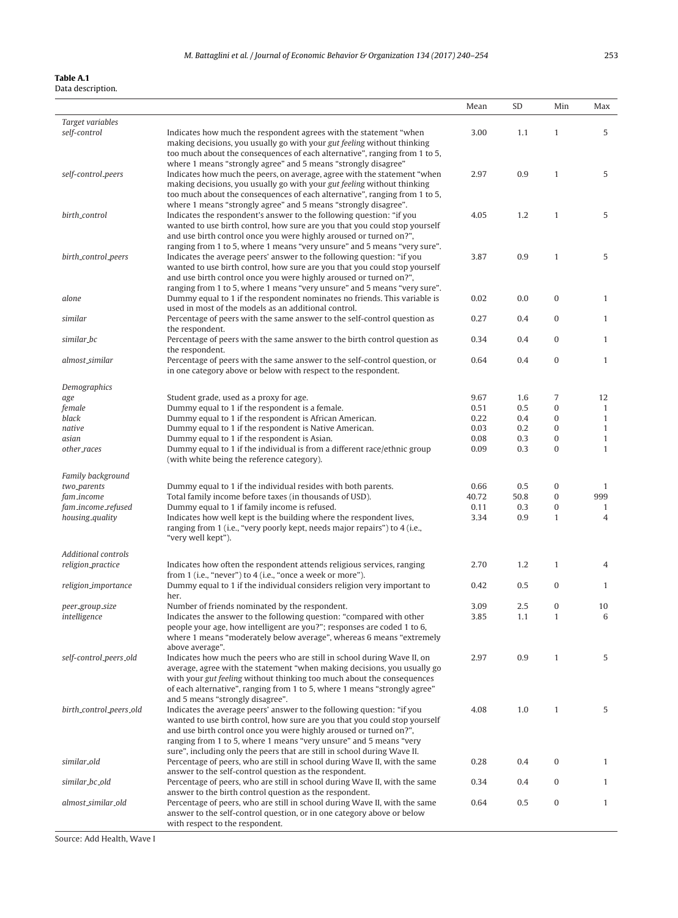## <span id="page-13-0"></span>**Table A.1** Data description.

J.

|                                  |                                                                                                                                                                                                                                                                                                                                             | Mean          | SD          | Min                  | Max                 |
|----------------------------------|---------------------------------------------------------------------------------------------------------------------------------------------------------------------------------------------------------------------------------------------------------------------------------------------------------------------------------------------|---------------|-------------|----------------------|---------------------|
| Target variables                 |                                                                                                                                                                                                                                                                                                                                             |               |             |                      |                     |
| self-control                     | Indicates how much the respondent agrees with the statement "when<br>making decisions, you usually go with your gut feeling without thinking<br>too much about the consequences of each alternative", ranging from 1 to 5,                                                                                                                  | 3.00          | 1.1         | $\mathbf{1}$         | 5                   |
| self-control_peers               | where 1 means "strongly agree" and 5 means "strongly disagree"<br>Indicates how much the peers, on average, agree with the statement "when<br>making decisions, you usually go with your gut feeling without thinking                                                                                                                       | 2.97          | 0.9         | $\mathbf{1}$         | 5                   |
| birth_control                    | too much about the consequences of each alternative", ranging from 1 to 5,<br>where 1 means "strongly agree" and 5 means "strongly disagree".<br>Indicates the respondent's answer to the following question: "if you                                                                                                                       | 4.05          | 1.2         | $\mathbf{1}$         | 5                   |
|                                  | wanted to use birth control, how sure are you that you could stop yourself<br>and use birth control once you were highly aroused or turned on?",<br>ranging from 1 to 5, where 1 means "very unsure" and 5 means "very sure".                                                                                                               |               |             |                      |                     |
| birth_control_peers              | Indicates the average peers' answer to the following question: "if you<br>wanted to use birth control, how sure are you that you could stop yourself<br>and use birth control once you were highly aroused or turned on?",                                                                                                                  | 3.87          | 0.9         | $\mathbf{1}$         | 5                   |
| alone                            | ranging from 1 to 5, where 1 means "very unsure" and 5 means "very sure".<br>Dummy equal to 1 if the respondent nominates no friends. This variable is<br>used in most of the models as an additional control.                                                                                                                              | 0.02          | 0.0         | $\bf{0}$             | $\mathbf{1}$        |
| similar                          | Percentage of peers with the same answer to the self-control question as<br>the respondent.                                                                                                                                                                                                                                                 | 0.27          | 0.4         | 0                    | $\mathbf{1}$        |
| similar_bc                       | Percentage of peers with the same answer to the birth control question as<br>the respondent.                                                                                                                                                                                                                                                | 0.34          | 0.4         | $\overline{0}$       | $\mathbf{1}$        |
| almost_similar                   | Percentage of peers with the same answer to the self-control question, or<br>in one category above or below with respect to the respondent.                                                                                                                                                                                                 | 0.64          | 0.4         | $\bf{0}$             | $\mathbf{1}$        |
| Demographics                     |                                                                                                                                                                                                                                                                                                                                             |               |             |                      |                     |
| age<br>female                    | Student grade, used as a proxy for age.<br>Dummy equal to 1 if the respondent is a female.                                                                                                                                                                                                                                                  | 9.67<br>0.51  | 1.6<br>0.5  | 7<br>$\overline{0}$  | 12<br>$\mathbf{1}$  |
| black                            | Dummy equal to 1 if the respondent is African American.                                                                                                                                                                                                                                                                                     | 0.22          | 0.4         | $\bf{0}$             | $\mathbf{1}$        |
| native                           | Dummy equal to 1 if the respondent is Native American.                                                                                                                                                                                                                                                                                      | 0.03          | 0.2         | $\overline{0}$       | $\mathbf{1}$        |
| asian                            | Dummy equal to 1 if the respondent is Asian.                                                                                                                                                                                                                                                                                                | 0.08          | 0.3         | $\bf{0}$             | $\mathbf{1}$        |
| other_races                      | Dummy equal to 1 if the individual is from a different race/ethnic group<br>(with white being the reference category).                                                                                                                                                                                                                      | 0.09          | 0.3         | $\overline{0}$       | $\mathbf{1}$        |
| Family background                |                                                                                                                                                                                                                                                                                                                                             |               |             |                      |                     |
| two_parents                      | Dummy equal to 1 if the individual resides with both parents.                                                                                                                                                                                                                                                                               | 0.66          | 0.5         | 0                    | 1                   |
| fam_income<br>fam_income_refused | Total family income before taxes (in thousands of USD).<br>Dummy equal to 1 if family income is refused.                                                                                                                                                                                                                                    | 40.72<br>0.11 | 50.8<br>0.3 | $\bf{0}$<br>$\bf{0}$ | 999<br>$\mathbf{1}$ |
| housing_quality                  | Indicates how well kept is the building where the respondent lives,<br>ranging from 1 (i.e., "very poorly kept, needs major repairs") to 4 (i.e.,<br>"very well kept").                                                                                                                                                                     | 3.34          | 0.9         | $\mathbf{1}$         | $\overline{4}$      |
| <b>Additional controls</b>       |                                                                                                                                                                                                                                                                                                                                             |               |             |                      |                     |
| religion_practice                | Indicates how often the respondent attends religious services, ranging<br>from 1 (i.e., "never") to 4 (i.e., "once a week or more").                                                                                                                                                                                                        | 2.70          | 1.2         | $\mathbf{1}$         | 4                   |
| religion_importance              | Dummy equal to 1 if the individual considers religion very important to<br>her.                                                                                                                                                                                                                                                             | 0.42          | 0.5         | $\bf{0}$             | $\mathbf{1}$        |
| peer_group_size                  | Number of friends nominated by the respondent.                                                                                                                                                                                                                                                                                              | 3.09          | 2.5         | $\bf{0}$             | 10                  |
| intelligence                     | Indicates the answer to the following question: "compared with other<br>people your age, how intelligent are you?"; responses are coded 1 to 6,<br>where 1 means "moderately below average", whereas 6 means "extremely                                                                                                                     | 3.85          | 1.1         | $\mathbf{1}$         | 6                   |
| self-control_peers_old           | above average".<br>Indicates how much the peers who are still in school during Wave II, on<br>average, agree with the statement "when making decisions, you usually go<br>with your gut feeling without thinking too much about the consequences                                                                                            | 2.97          | 0.9         | 1                    | 5                   |
| birth_control_peers_old          | of each alternative", ranging from 1 to 5, where 1 means "strongly agree"<br>and 5 means "strongly disagree".<br>Indicates the average peers' answer to the following question: "if you<br>wanted to use birth control, how sure are you that you could stop yourself<br>and use birth control once you were highly aroused or turned on?", | 4.08          | 1.0         | $\mathbf{1}$         | 5                   |
|                                  | ranging from 1 to 5, where 1 means "very unsure" and 5 means "very<br>sure", including only the peers that are still in school during Wave II.                                                                                                                                                                                              |               |             |                      |                     |
| similar_old                      | Percentage of peers, who are still in school during Wave II, with the same<br>answer to the self-control question as the respondent.                                                                                                                                                                                                        | 0.28          | 0.4         | $\bf{0}$             | $\mathbf{1}$        |
| similar_bc_old                   | Percentage of peers, who are still in school during Wave II, with the same<br>answer to the birth control question as the respondent.                                                                                                                                                                                                       | 0.34          | 0.4         | 0                    | $\mathbf{1}$        |
| almost_similar_old               | Percentage of peers, who are still in school during Wave II, with the same<br>answer to the self-control question, or in one category above or below<br>with respect to the respondent.                                                                                                                                                     | 0.64          | 0.5         | $\bf{0}$             | $\mathbf{1}$        |